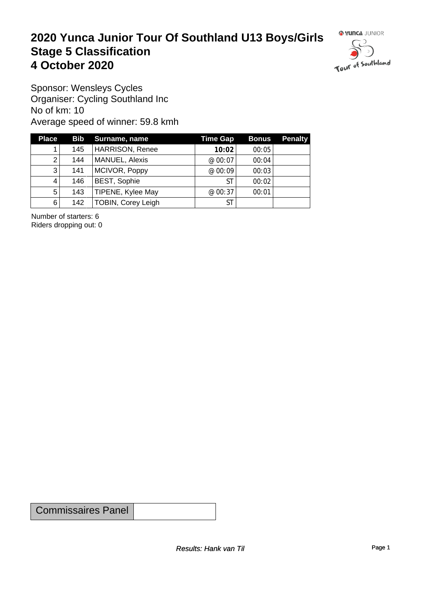#### **2020 Yunca Junior Tour Of Southland U13 Boys/Girls** Stage 5 Classification<br>4 October 2020 **4 October 2020**



Sponsor: Wensleys Cycles Organiser: Cycling Southland Inc No of km: 10 Average speed of winner: 59.8 kmh

| <b>Place</b> |     | <b>Bib</b> Surname, name | <b>Time Gap</b> | <b>Bonus</b> | <b>Penalty</b> |
|--------------|-----|--------------------------|-----------------|--------------|----------------|
|              | 145 | <b>HARRISON, Renee</b>   | 10:02           | 00:05        |                |
| 2            | 144 | MANUEL, Alexis           | @ 00:07         | 00:04        |                |
| 3            | 141 | MCIVOR, Poppy            | @ 00:09         | 00:03        |                |
| 4            | 146 | <b>BEST, Sophie</b>      | <b>ST</b>       | 00:02        |                |
| $5^{\circ}$  | 143 | TIPENE, Kylee May        | @ 00:37         | 00:01        |                |
| 6            | 142 | TOBIN, Corey Leigh       | <b>ST</b>       |              |                |

Number of starters: 6 Riders dropping out: 0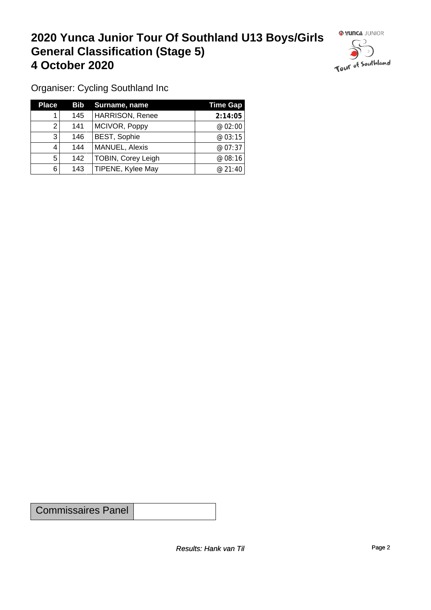## **2020 Yunca Junior Tour Of Southland U13 Boys/Girls General Classification (Stage 5)**<br>
4 October 2020 **4 October 2020**



Organiser: Cycling Southland Inc

| <b>Place</b> |     | <b>Bib</b> Surname, name  | Time Gap |
|--------------|-----|---------------------------|----------|
|              | 145 | <b>HARRISON, Renee</b>    | 2:14:05  |
| 2            | 141 | MCIVOR, Poppy             | @ 02:00  |
| 3            | 146 | <b>BEST, Sophie</b>       | @03:15   |
| 4            | 144 | MANUEL, Alexis            | @ 07:37  |
| 5            | 142 | <b>TOBIN, Corey Leigh</b> | @08:16   |
| 6            | 143 | TIPENE, Kylee May         | @ 21:40  |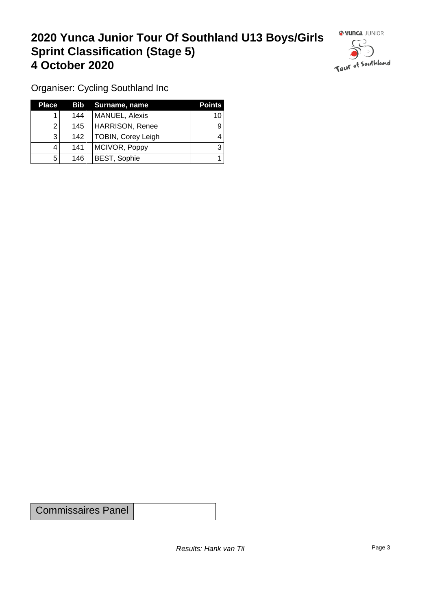### **2020 Yunca Junior Tour Of Southland U13 Boys/Girls Sprint Classification (Stage 5) 4 October 2020**



Organiser: Cycling Southland Inc

| <b>Place</b> |     | <b>Bib</b> Surname, name | <b>Points</b> |
|--------------|-----|--------------------------|---------------|
|              | 144 | <b>MANUEL, Alexis</b>    | 10            |
|              | 145 | <b>HARRISON, Renee</b>   |               |
| 3            | 142 | TOBIN, Corey Leigh       |               |
|              | 141 | MCIVOR, Poppy            |               |
| 5            | 146 | <b>BEST, Sophie</b>      |               |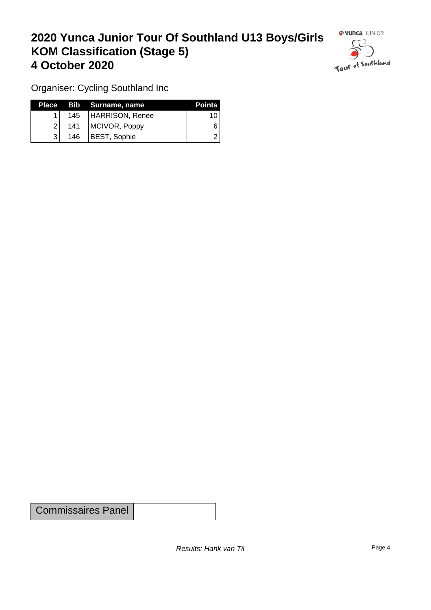### **2020 Yunca Junior Tour Of Southland U13 Boys/Girls KOM Classification (Stage 5) 4 October 2020**



Organiser: Cycling Southland Inc

|                |     | Place Bib Surname, name | <b>Points</b> |
|----------------|-----|-------------------------|---------------|
|                |     | 145   HARRISON, Renee   | 10            |
| $\overline{2}$ | 141 | MCIVOR, Poppy           |               |
|                | 146 | <b>BEST, Sophie</b>     |               |